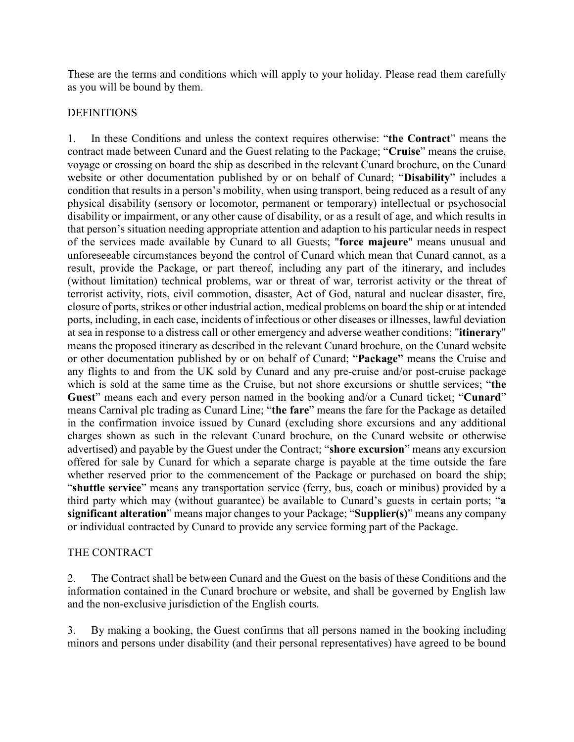These are the terms and conditions which will apply to your holiday. Please read them carefully as you will be bound by them.

### DEFINITIONS

1. In these Conditions and unless the context requires otherwise: "**the Contract**" means the contract made between Cunard and the Guest relating to the Package; "**Cruise**" means the cruise, voyage or crossing on board the ship as described in the relevant Cunard brochure, on the Cunard website or other documentation published by or on behalf of Cunard; "**Disability**" includes a condition that results in a person's mobility, when using transport, being reduced as a result of any physical disability (sensory or locomotor, permanent or temporary) intellectual or psychosocial disability or impairment, or any other cause of disability, or as a result of age, and which results in that person's situation needing appropriate attention and adaption to his particular needs in respect of the services made available by Cunard to all Guests; "**force majeure**" means unusual and unforeseeable circumstances beyond the control of Cunard which mean that Cunard cannot, as a result, provide the Package, or part thereof, including any part of the itinerary, and includes (without limitation) technical problems, war or threat of war, terrorist activity or the threat of terrorist activity, riots, civil commotion, disaster, Act of God, natural and nuclear disaster, fire, closure of ports, strikes or other industrial action, medical problems on board the ship or at intended ports, including, in each case, incidents of infectious or other diseases or illnesses, lawful deviation at sea in response to a distress call or other emergency and adverse weather conditions; "**itinerary**" means the proposed itinerary as described in the relevant Cunard brochure, on the Cunard website or other documentation published by or on behalf of Cunard; "**Package"** means the Cruise and any flights to and from the UK sold by Cunard and any pre-cruise and/or post-cruise package which is sold at the same time as the Cruise, but not shore excursions or shuttle services; "**the Guest**" means each and every person named in the booking and/or a Cunard ticket; "**Cunard**" means Carnival plc trading as Cunard Line; "**the fare**" means the fare for the Package as detailed in the confirmation invoice issued by Cunard (excluding shore excursions and any additional charges shown as such in the relevant Cunard brochure, on the Cunard website or otherwise advertised) and payable by the Guest under the Contract; "**shore excursion**" means any excursion offered for sale by Cunard for which a separate charge is payable at the time outside the fare whether reserved prior to the commencement of the Package or purchased on board the ship; "**shuttle service**" means any transportation service (ferry, bus, coach or minibus) provided by a third party which may (without guarantee) be available to Cunard's guests in certain ports; "**a significant alteration**" means major changes to your Package; "**Supplier(s)**" means any company or individual contracted by Cunard to provide any service forming part of the Package.

### THE CONTRACT

2. The Contract shall be between Cunard and the Guest on the basis of these Conditions and the information contained in the Cunard brochure or website, and shall be governed by English law and the non-exclusive jurisdiction of the English courts.

3. By making a booking, the Guest confirms that all persons named in the booking including minors and persons under disability (and their personal representatives) have agreed to be bound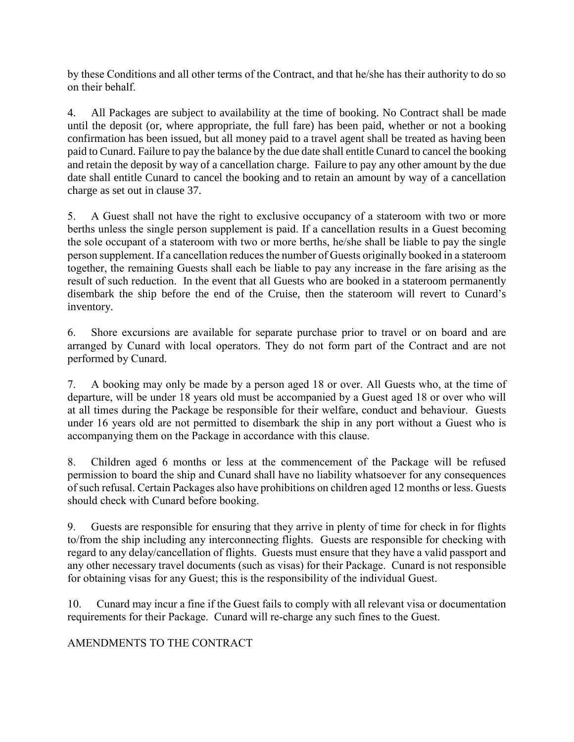by these Conditions and all other terms of the Contract, and that he/she has their authority to do so on their behalf.

4. All Packages are subject to availability at the time of booking. No Contract shall be made until the deposit (or, where appropriate, the full fare) has been paid, whether or not a booking confirmation has been issued, but all money paid to a travel agent shall be treated as having been paid to Cunard. Failure to pay the balance by the due date shall entitle Cunard to cancel the booking and retain the deposit by way of a cancellation charge. Failure to pay any other amount by the due date shall entitle Cunard to cancel the booking and to retain an amount by way of a cancellation charge as set out in clause 37.

5. A Guest shall not have the right to exclusive occupancy of a stateroom with two or more berths unless the single person supplement is paid. If a cancellation results in a Guest becoming the sole occupant of a stateroom with two or more berths, he/she shall be liable to pay the single person supplement. If a cancellation reduces the number of Guests originally booked in a stateroom together, the remaining Guests shall each be liable to pay any increase in the fare arising as the result of such reduction. In the event that all Guests who are booked in a stateroom permanently disembark the ship before the end of the Cruise, then the stateroom will revert to Cunard's inventory.

6. Shore excursions are available for separate purchase prior to travel or on board and are arranged by Cunard with local operators. They do not form part of the Contract and are not performed by Cunard.

7. A booking may only be made by a person aged 18 or over. All Guests who, at the time of departure, will be under 18 years old must be accompanied by a Guest aged 18 or over who will at all times during the Package be responsible for their welfare, conduct and behaviour. Guests under 16 years old are not permitted to disembark the ship in any port without a Guest who is accompanying them on the Package in accordance with this clause.

8. Children aged 6 months or less at the commencement of the Package will be refused permission to board the ship and Cunard shall have no liability whatsoever for any consequences of such refusal. Certain Packages also have prohibitions on children aged 12 months or less. Guests should check with Cunard before booking.

9. Guests are responsible for ensuring that they arrive in plenty of time for check in for flights to/from the ship including any interconnecting flights. Guests are responsible for checking with regard to any delay/cancellation of flights. Guests must ensure that they have a valid passport and any other necessary travel documents (such as visas) for their Package. Cunard is not responsible for obtaining visas for any Guest; this is the responsibility of the individual Guest.

10. Cunard may incur a fine if the Guest fails to comply with all relevant visa or documentation requirements for their Package. Cunard will re-charge any such fines to the Guest.

## AMENDMENTS TO THE CONTRACT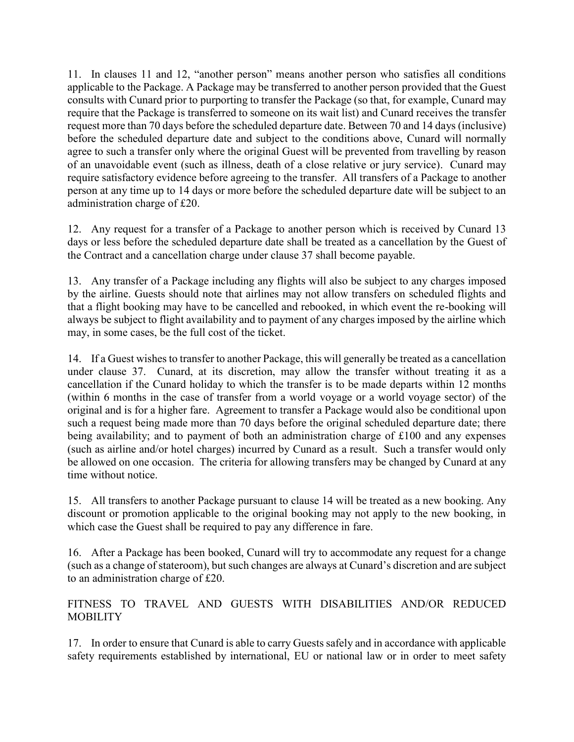11. In clauses 11 and 12, "another person" means another person who satisfies all conditions applicable to the Package. A Package may be transferred to another person provided that the Guest consults with Cunard prior to purporting to transfer the Package (so that, for example, Cunard may require that the Package is transferred to someone on its wait list) and Cunard receives the transfer request more than 70 days before the scheduled departure date. Between 70 and 14 days (inclusive) before the scheduled departure date and subject to the conditions above, Cunard will normally agree to such a transfer only where the original Guest will be prevented from travelling by reason of an unavoidable event (such as illness, death of a close relative or jury service). Cunard may require satisfactory evidence before agreeing to the transfer. All transfers of a Package to another person at any time up to 14 days or more before the scheduled departure date will be subject to an administration charge of £20.

12. Any request for a transfer of a Package to another person which is received by Cunard 13 days or less before the scheduled departure date shall be treated as a cancellation by the Guest of the Contract and a cancellation charge under clause 37 shall become payable.

13. Any transfer of a Package including any flights will also be subject to any charges imposed by the airline. Guests should note that airlines may not allow transfers on scheduled flights and that a flight booking may have to be cancelled and rebooked, in which event the re-booking will always be subject to flight availability and to payment of any charges imposed by the airline which may, in some cases, be the full cost of the ticket.

14. If a Guest wishes to transfer to another Package, this will generally be treated as a cancellation under clause 37. Cunard, at its discretion, may allow the transfer without treating it as a cancellation if the Cunard holiday to which the transfer is to be made departs within 12 months (within 6 months in the case of transfer from a world voyage or a world voyage sector) of the original and is for a higher fare. Agreement to transfer a Package would also be conditional upon such a request being made more than 70 days before the original scheduled departure date; there being availability; and to payment of both an administration charge of £100 and any expenses (such as airline and/or hotel charges) incurred by Cunard as a result. Such a transfer would only be allowed on one occasion. The criteria for allowing transfers may be changed by Cunard at any time without notice.

15. All transfers to another Package pursuant to clause 14 will be treated as a new booking. Any discount or promotion applicable to the original booking may not apply to the new booking, in which case the Guest shall be required to pay any difference in fare.

16. After a Package has been booked, Cunard will try to accommodate any request for a change (such as a change of stateroom), but such changes are always at Cunard's discretion and are subject to an administration charge of £20.

FITNESS TO TRAVEL AND GUESTS WITH DISABILITIES AND/OR REDUCED **MOBILITY** 

17. In order to ensure that Cunard is able to carry Guests safely and in accordance with applicable safety requirements established by international, EU or national law or in order to meet safety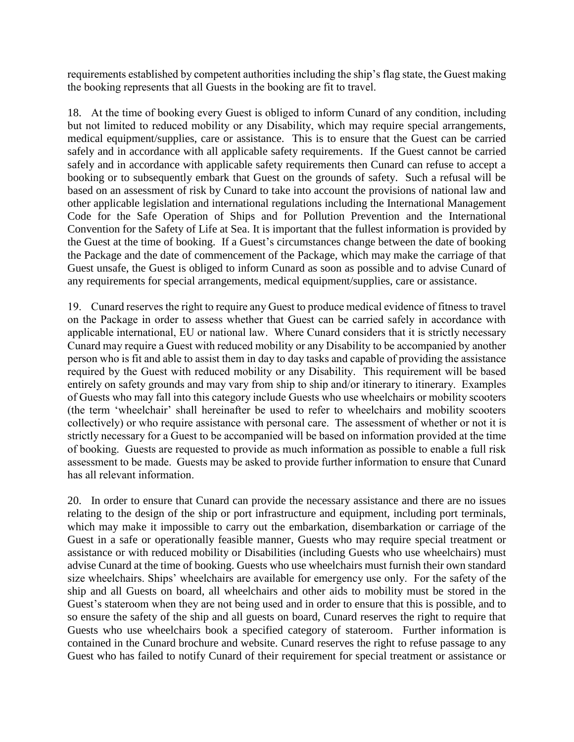requirements established by competent authorities including the ship's flag state, the Guest making the booking represents that all Guests in the booking are fit to travel.

18. At the time of booking every Guest is obliged to inform Cunard of any condition, including but not limited to reduced mobility or any Disability, which may require special arrangements, medical equipment/supplies, care or assistance. This is to ensure that the Guest can be carried safely and in accordance with all applicable safety requirements. If the Guest cannot be carried safely and in accordance with applicable safety requirements then Cunard can refuse to accept a booking or to subsequently embark that Guest on the grounds of safety. Such a refusal will be based on an assessment of risk by Cunard to take into account the provisions of national law and other applicable legislation and international regulations including the International Management Code for the Safe Operation of Ships and for Pollution Prevention and the International Convention for the Safety of Life at Sea. It is important that the fullest information is provided by the Guest at the time of booking. If a Guest's circumstances change between the date of booking the Package and the date of commencement of the Package, which may make the carriage of that Guest unsafe, the Guest is obliged to inform Cunard as soon as possible and to advise Cunard of any requirements for special arrangements, medical equipment/supplies, care or assistance.

19. Cunard reserves the right to require any Guest to produce medical evidence of fitness to travel on the Package in order to assess whether that Guest can be carried safely in accordance with applicable international, EU or national law. Where Cunard considers that it is strictly necessary Cunard may require a Guest with reduced mobility or any Disability to be accompanied by another person who is fit and able to assist them in day to day tasks and capable of providing the assistance required by the Guest with reduced mobility or any Disability. This requirement will be based entirely on safety grounds and may vary from ship to ship and/or itinerary to itinerary. Examples of Guests who may fall into this category include Guests who use wheelchairs or mobility scooters (the term 'wheelchair' shall hereinafter be used to refer to wheelchairs and mobility scooters collectively) or who require assistance with personal care. The assessment of whether or not it is strictly necessary for a Guest to be accompanied will be based on information provided at the time of booking. Guests are requested to provide as much information as possible to enable a full risk assessment to be made. Guests may be asked to provide further information to ensure that Cunard has all relevant information.

20. In order to ensure that Cunard can provide the necessary assistance and there are no issues relating to the design of the ship or port infrastructure and equipment, including port terminals, which may make it impossible to carry out the embarkation, disembarkation or carriage of the Guest in a safe or operationally feasible manner, Guests who may require special treatment or assistance or with reduced mobility or Disabilities (including Guests who use wheelchairs) must advise Cunard at the time of booking. Guests who use wheelchairs must furnish their own standard size wheelchairs. Ships' wheelchairs are available for emergency use only. For the safety of the ship and all Guests on board, all wheelchairs and other aids to mobility must be stored in the Guest's stateroom when they are not being used and in order to ensure that this is possible, and to so ensure the safety of the ship and all guests on board, Cunard reserves the right to require that Guests who use wheelchairs book a specified category of stateroom. Further information is contained in the Cunard brochure and website. Cunard reserves the right to refuse passage to any Guest who has failed to notify Cunard of their requirement for special treatment or assistance or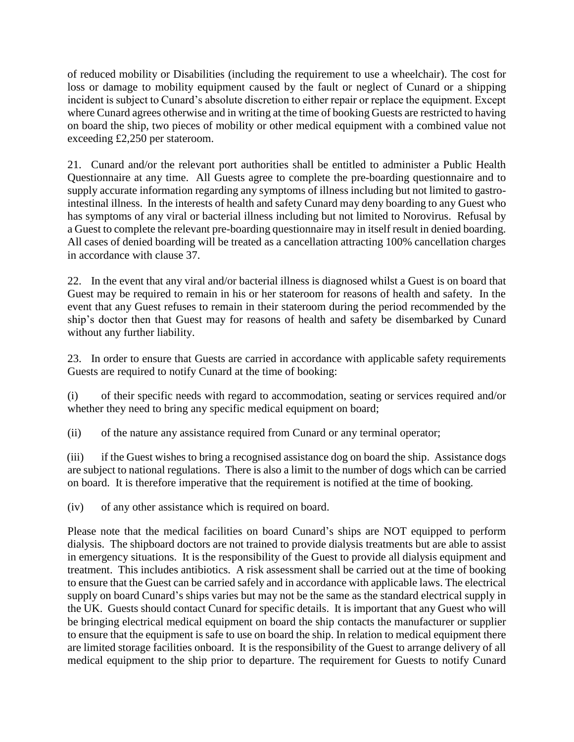of reduced mobility or Disabilities (including the requirement to use a wheelchair). The cost for loss or damage to mobility equipment caused by the fault or neglect of Cunard or a shipping incident is subject to Cunard's absolute discretion to either repair or replace the equipment. Except where Cunard agrees otherwise and in writing at the time of booking Guests are restricted to having on board the ship, two pieces of mobility or other medical equipment with a combined value not exceeding £2,250 per stateroom.

21. Cunard and/or the relevant port authorities shall be entitled to administer a Public Health Questionnaire at any time. All Guests agree to complete the pre-boarding questionnaire and to supply accurate information regarding any symptoms of illness including but not limited to gastrointestinal illness. In the interests of health and safety Cunard may deny boarding to any Guest who has symptoms of any viral or bacterial illness including but not limited to Norovirus. Refusal by a Guest to complete the relevant pre-boarding questionnaire may in itself result in denied boarding. All cases of denied boarding will be treated as a cancellation attracting 100% cancellation charges in accordance with clause 37.

22. In the event that any viral and/or bacterial illness is diagnosed whilst a Guest is on board that Guest may be required to remain in his or her stateroom for reasons of health and safety. In the event that any Guest refuses to remain in their stateroom during the period recommended by the ship's doctor then that Guest may for reasons of health and safety be disembarked by Cunard without any further liability.

23. In order to ensure that Guests are carried in accordance with applicable safety requirements Guests are required to notify Cunard at the time of booking:

(i) of their specific needs with regard to accommodation, seating or services required and/or whether they need to bring any specific medical equipment on board;

(ii) of the nature any assistance required from Cunard or any terminal operator;

(iii) if the Guest wishes to bring a recognised assistance dog on board the ship. Assistance dogs are subject to national regulations. There is also a limit to the number of dogs which can be carried on board. It is therefore imperative that the requirement is notified at the time of booking.

(iv) of any other assistance which is required on board.

Please note that the medical facilities on board Cunard's ships are NOT equipped to perform dialysis. The shipboard doctors are not trained to provide dialysis treatments but are able to assist in emergency situations. It is the responsibility of the Guest to provide all dialysis equipment and treatment. This includes antibiotics. A risk assessment shall be carried out at the time of booking to ensure that the Guest can be carried safely and in accordance with applicable laws. The electrical supply on board Cunard's ships varies but may not be the same as the standard electrical supply in the UK. Guests should contact Cunard for specific details. It is important that any Guest who will be bringing electrical medical equipment on board the ship contacts the manufacturer or supplier to ensure that the equipment is safe to use on board the ship. In relation to medical equipment there are limited storage facilities onboard. It is the responsibility of the Guest to arrange delivery of all medical equipment to the ship prior to departure. The requirement for Guests to notify Cunard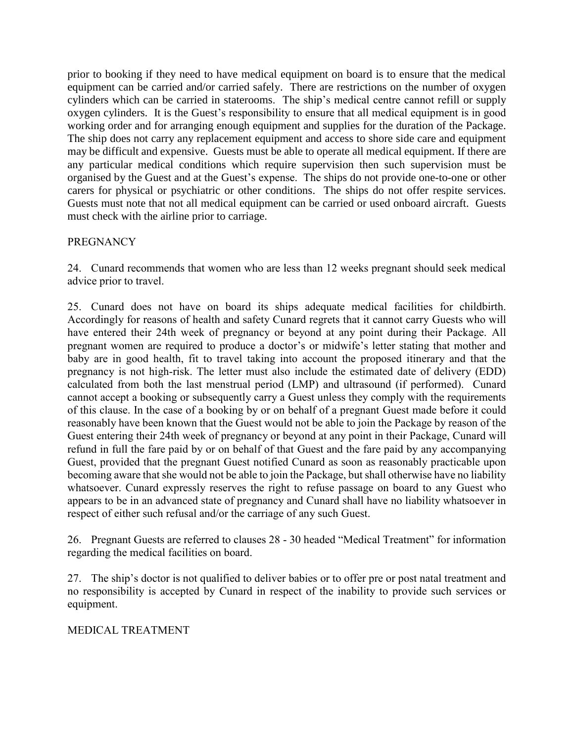prior to booking if they need to have medical equipment on board is to ensure that the medical equipment can be carried and/or carried safely. There are restrictions on the number of oxygen cylinders which can be carried in staterooms. The ship's medical centre cannot refill or supply oxygen cylinders. It is the Guest's responsibility to ensure that all medical equipment is in good working order and for arranging enough equipment and supplies for the duration of the Package. The ship does not carry any replacement equipment and access to shore side care and equipment may be difficult and expensive. Guests must be able to operate all medical equipment. If there are any particular medical conditions which require supervision then such supervision must be organised by the Guest and at the Guest's expense. The ships do not provide one-to-one or other carers for physical or psychiatric or other conditions. The ships do not offer respite services. Guests must note that not all medical equipment can be carried or used onboard aircraft. Guests must check with the airline prior to carriage.

# PREGNANCY

24. Cunard recommends that women who are less than 12 weeks pregnant should seek medical advice prior to travel.

25. Cunard does not have on board its ships adequate medical facilities for childbirth. Accordingly for reasons of health and safety Cunard regrets that it cannot carry Guests who will have entered their 24th week of pregnancy or beyond at any point during their Package. All pregnant women are required to produce a doctor's or midwife's letter stating that mother and baby are in good health, fit to travel taking into account the proposed itinerary and that the pregnancy is not high-risk. The letter must also include the estimated date of delivery (EDD) calculated from both the last menstrual period (LMP) and ultrasound (if performed). Cunard cannot accept a booking or subsequently carry a Guest unless they comply with the requirements of this clause. In the case of a booking by or on behalf of a pregnant Guest made before it could reasonably have been known that the Guest would not be able to join the Package by reason of the Guest entering their 24th week of pregnancy or beyond at any point in their Package, Cunard will refund in full the fare paid by or on behalf of that Guest and the fare paid by any accompanying Guest, provided that the pregnant Guest notified Cunard as soon as reasonably practicable upon becoming aware that she would not be able to join the Package, but shall otherwise have no liability whatsoever. Cunard expressly reserves the right to refuse passage on board to any Guest who appears to be in an advanced state of pregnancy and Cunard shall have no liability whatsoever in respect of either such refusal and/or the carriage of any such Guest.

26. Pregnant Guests are referred to clauses 28 - 30 headed "Medical Treatment" for information regarding the medical facilities on board.

27. The ship's doctor is not qualified to deliver babies or to offer pre or post natal treatment and no responsibility is accepted by Cunard in respect of the inability to provide such services or equipment.

## MEDICAL TREATMENT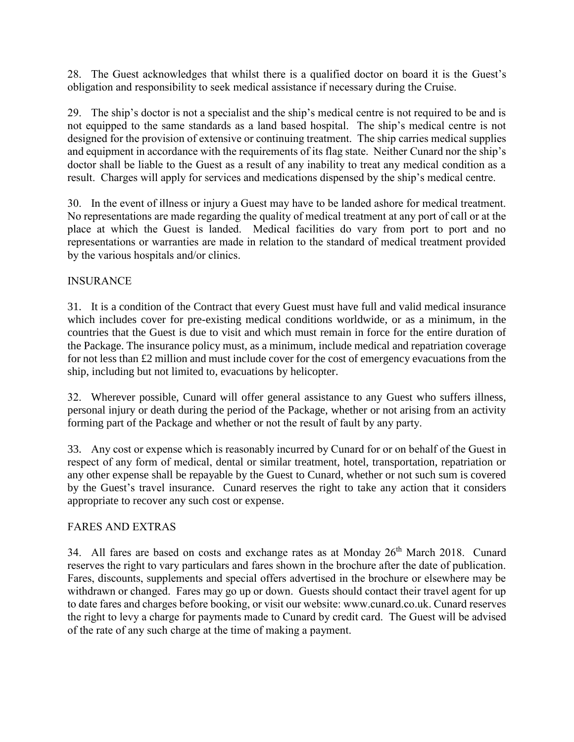28. The Guest acknowledges that whilst there is a qualified doctor on board it is the Guest's obligation and responsibility to seek medical assistance if necessary during the Cruise.

29. The ship's doctor is not a specialist and the ship's medical centre is not required to be and is not equipped to the same standards as a land based hospital. The ship's medical centre is not designed for the provision of extensive or continuing treatment. The ship carries medical supplies and equipment in accordance with the requirements of its flag state. Neither Cunard nor the ship's doctor shall be liable to the Guest as a result of any inability to treat any medical condition as a result. Charges will apply for services and medications dispensed by the ship's medical centre.

30. In the event of illness or injury a Guest may have to be landed ashore for medical treatment. No representations are made regarding the quality of medical treatment at any port of call or at the place at which the Guest is landed. Medical facilities do vary from port to port and no representations or warranties are made in relation to the standard of medical treatment provided by the various hospitals and/or clinics.

## INSURANCE

31. It is a condition of the Contract that every Guest must have full and valid medical insurance which includes cover for pre-existing medical conditions worldwide, or as a minimum, in the countries that the Guest is due to visit and which must remain in force for the entire duration of the Package. The insurance policy must, as a minimum, include medical and repatriation coverage for not less than £2 million and must include cover for the cost of emergency evacuations from the ship, including but not limited to, evacuations by helicopter.

32. Wherever possible, Cunard will offer general assistance to any Guest who suffers illness, personal injury or death during the period of the Package, whether or not arising from an activity forming part of the Package and whether or not the result of fault by any party.

33. Any cost or expense which is reasonably incurred by Cunard for or on behalf of the Guest in respect of any form of medical, dental or similar treatment, hotel, transportation, repatriation or any other expense shall be repayable by the Guest to Cunard, whether or not such sum is covered by the Guest's travel insurance. Cunard reserves the right to take any action that it considers appropriate to recover any such cost or expense.

### FARES AND EXTRAS

34. All fares are based on costs and exchange rates as at Monday 26<sup>th</sup> March 2018. Cunard reserves the right to vary particulars and fares shown in the brochure after the date of publication. Fares, discounts, supplements and special offers advertised in the brochure or elsewhere may be withdrawn or changed. Fares may go up or down. Guests should contact their travel agent for up to date fares and charges before booking, or visit our website: www.cunard.co.uk. Cunard reserves the right to levy a charge for payments made to Cunard by credit card. The Guest will be advised of the rate of any such charge at the time of making a payment.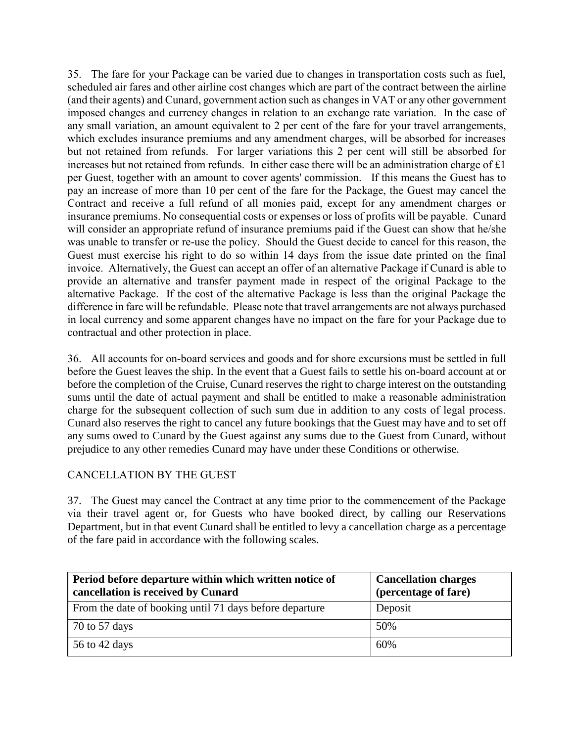35. The fare for your Package can be varied due to changes in transportation costs such as fuel, scheduled air fares and other airline cost changes which are part of the contract between the airline (and their agents) and Cunard, government action such as changes in VAT or any other government imposed changes and currency changes in relation to an exchange rate variation. In the case of any small variation, an amount equivalent to 2 per cent of the fare for your travel arrangements, which excludes insurance premiums and any amendment charges, will be absorbed for increases but not retained from refunds. For larger variations this 2 per cent will still be absorbed for increases but not retained from refunds. In either case there will be an administration charge of £1 per Guest, together with an amount to cover agents' commission. If this means the Guest has to pay an increase of more than 10 per cent of the fare for the Package, the Guest may cancel the Contract and receive a full refund of all monies paid, except for any amendment charges or insurance premiums. No consequential costs or expenses or loss of profits will be payable. Cunard will consider an appropriate refund of insurance premiums paid if the Guest can show that he/she was unable to transfer or re-use the policy. Should the Guest decide to cancel for this reason, the Guest must exercise his right to do so within 14 days from the issue date printed on the final invoice. Alternatively, the Guest can accept an offer of an alternative Package if Cunard is able to provide an alternative and transfer payment made in respect of the original Package to the alternative Package. If the cost of the alternative Package is less than the original Package the difference in fare will be refundable. Please note that travel arrangements are not always purchased in local currency and some apparent changes have no impact on the fare for your Package due to contractual and other protection in place.

36. All accounts for on-board services and goods and for shore excursions must be settled in full before the Guest leaves the ship. In the event that a Guest fails to settle his on-board account at or before the completion of the Cruise, Cunard reserves the right to charge interest on the outstanding sums until the date of actual payment and shall be entitled to make a reasonable administration charge for the subsequent collection of such sum due in addition to any costs of legal process. Cunard also reserves the right to cancel any future bookings that the Guest may have and to set off any sums owed to Cunard by the Guest against any sums due to the Guest from Cunard, without prejudice to any other remedies Cunard may have under these Conditions or otherwise.

## CANCELLATION BY THE GUEST

37. The Guest may cancel the Contract at any time prior to the commencement of the Package via their travel agent or, for Guests who have booked direct, by calling our Reservations Department, but in that event Cunard shall be entitled to levy a cancellation charge as a percentage of the fare paid in accordance with the following scales.

| Period before departure within which written notice of<br>cancellation is received by Cunard | <b>Cancellation charges</b><br>(percentage of fare) |
|----------------------------------------------------------------------------------------------|-----------------------------------------------------|
| From the date of booking until 71 days before departure                                      | Deposit                                             |
| 70 to 57 days                                                                                | 50%                                                 |
| 56 to 42 days                                                                                | 60%                                                 |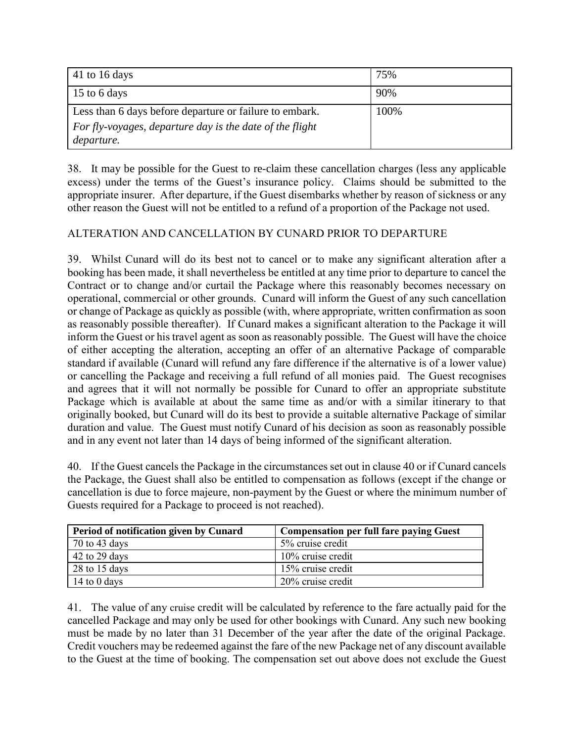| 41 to 16 days                                                          | 75%  |
|------------------------------------------------------------------------|------|
| 15 to 6 days                                                           | 90%  |
| Less than 6 days before departure or failure to embark.                | 100% |
| For fly-voyages, departure day is the date of the flight<br>departure. |      |

38. It may be possible for the Guest to re-claim these cancellation charges (less any applicable excess) under the terms of the Guest's insurance policy. Claims should be submitted to the appropriate insurer. After departure, if the Guest disembarks whether by reason of sickness or any other reason the Guest will not be entitled to a refund of a proportion of the Package not used.

# ALTERATION AND CANCELLATION BY CUNARD PRIOR TO DEPARTURE

39. Whilst Cunard will do its best not to cancel or to make any significant alteration after a booking has been made, it shall nevertheless be entitled at any time prior to departure to cancel the Contract or to change and/or curtail the Package where this reasonably becomes necessary on operational, commercial or other grounds. Cunard will inform the Guest of any such cancellation or change of Package as quickly as possible (with, where appropriate, written confirmation as soon as reasonably possible thereafter). If Cunard makes a significant alteration to the Package it will inform the Guest or his travel agent as soon as reasonably possible. The Guest will have the choice of either accepting the alteration, accepting an offer of an alternative Package of comparable standard if available (Cunard will refund any fare difference if the alternative is of a lower value) or cancelling the Package and receiving a full refund of all monies paid. The Guest recognises and agrees that it will not normally be possible for Cunard to offer an appropriate substitute Package which is available at about the same time as and/or with a similar itinerary to that originally booked, but Cunard will do its best to provide a suitable alternative Package of similar duration and value. The Guest must notify Cunard of his decision as soon as reasonably possible and in any event not later than 14 days of being informed of the significant alteration.

40. If the Guest cancels the Package in the circumstances set out in clause 40 or if Cunard cancels the Package, the Guest shall also be entitled to compensation as follows (except if the change or cancellation is due to force majeure, non-payment by the Guest or where the minimum number of Guests required for a Package to proceed is not reached).

| Period of notification given by Cunard | <b>Compensation per full fare paying Guest</b> |
|----------------------------------------|------------------------------------------------|
| 70 to 43 days                          | 5% cruise credit                               |
| 42 to 29 days                          | $10\%$ cruise credit                           |
| 28 to 15 days                          | 15% cruise credit                              |
| 14 to $0$ days                         | 20% cruise credit                              |

41. The value of any cruise credit will be calculated by reference to the fare actually paid for the cancelled Package and may only be used for other bookings with Cunard. Any such new booking must be made by no later than 31 December of the year after the date of the original Package. Credit vouchers may be redeemed against the fare of the new Package net of any discount available to the Guest at the time of booking. The compensation set out above does not exclude the Guest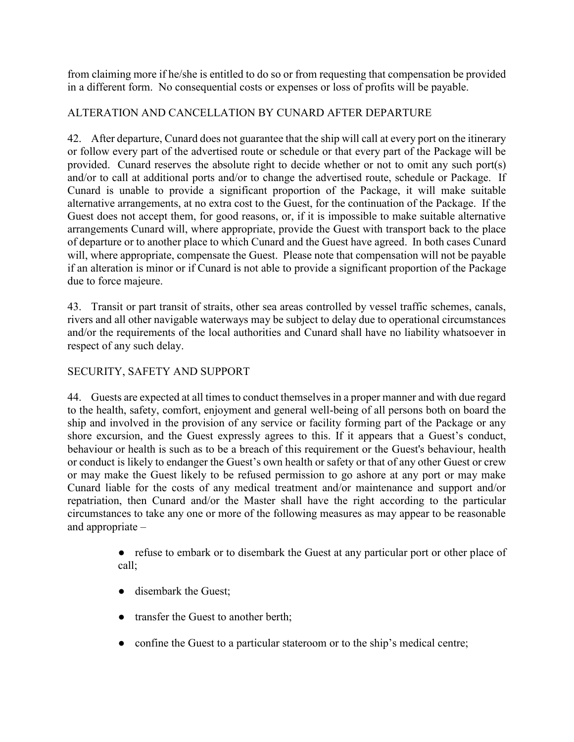from claiming more if he/she is entitled to do so or from requesting that compensation be provided in a different form. No consequential costs or expenses or loss of profits will be payable.

## ALTERATION AND CANCELLATION BY CUNARD AFTER DEPARTURE

42. After departure, Cunard does not guarantee that the ship will call at every port on the itinerary or follow every part of the advertised route or schedule or that every part of the Package will be provided. Cunard reserves the absolute right to decide whether or not to omit any such port(s) and/or to call at additional ports and/or to change the advertised route, schedule or Package. If Cunard is unable to provide a significant proportion of the Package, it will make suitable alternative arrangements, at no extra cost to the Guest, for the continuation of the Package. If the Guest does not accept them, for good reasons, or, if it is impossible to make suitable alternative arrangements Cunard will, where appropriate, provide the Guest with transport back to the place of departure or to another place to which Cunard and the Guest have agreed. In both cases Cunard will, where appropriate, compensate the Guest. Please note that compensation will not be payable if an alteration is minor or if Cunard is not able to provide a significant proportion of the Package due to force majeure.

43. Transit or part transit of straits, other sea areas controlled by vessel traffic schemes, canals, rivers and all other navigable waterways may be subject to delay due to operational circumstances and/or the requirements of the local authorities and Cunard shall have no liability whatsoever in respect of any such delay.

# SECURITY, SAFETY AND SUPPORT

44. Guests are expected at all times to conduct themselves in a proper manner and with due regard to the health, safety, comfort, enjoyment and general well-being of all persons both on board the ship and involved in the provision of any service or facility forming part of the Package or any shore excursion, and the Guest expressly agrees to this. If it appears that a Guest's conduct, behaviour or health is such as to be a breach of this requirement or the Guest's behaviour, health or conduct is likely to endanger the Guest's own health or safety or that of any other Guest or crew or may make the Guest likely to be refused permission to go ashore at any port or may make Cunard liable for the costs of any medical treatment and/or maintenance and support and/or repatriation, then Cunard and/or the Master shall have the right according to the particular circumstances to take any one or more of the following measures as may appear to be reasonable and appropriate –

- refuse to embark or to disembark the Guest at any particular port or other place of call;
- disembark the Guest;
- transfer the Guest to another berth;
- confine the Guest to a particular stateroom or to the ship's medical centre;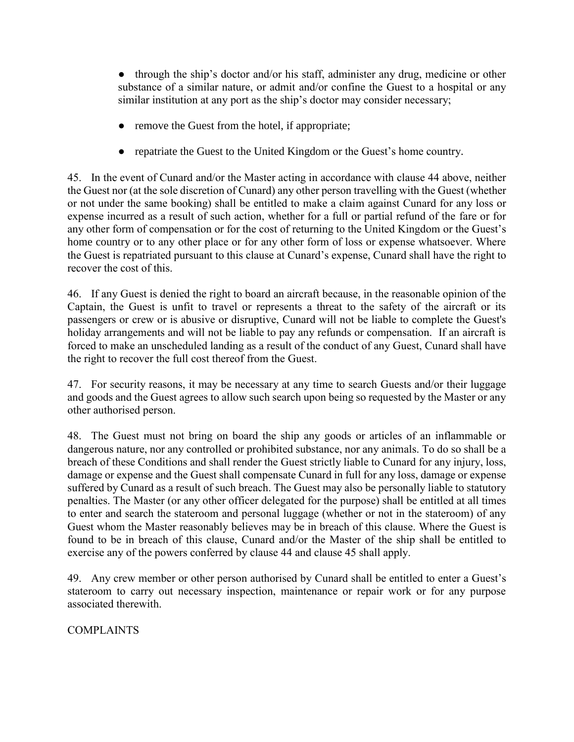• through the ship's doctor and/or his staff, administer any drug, medicine or other substance of a similar nature, or admit and/or confine the Guest to a hospital or any similar institution at any port as the ship's doctor may consider necessary;

- remove the Guest from the hotel, if appropriate;
- repatriate the Guest to the United Kingdom or the Guest's home country.

45. In the event of Cunard and/or the Master acting in accordance with clause 44 above, neither the Guest nor (at the sole discretion of Cunard) any other person travelling with the Guest (whether or not under the same booking) shall be entitled to make a claim against Cunard for any loss or expense incurred as a result of such action, whether for a full or partial refund of the fare or for any other form of compensation or for the cost of returning to the United Kingdom or the Guest's home country or to any other place or for any other form of loss or expense whatsoever. Where the Guest is repatriated pursuant to this clause at Cunard's expense, Cunard shall have the right to recover the cost of this.

46. If any Guest is denied the right to board an aircraft because, in the reasonable opinion of the Captain, the Guest is unfit to travel or represents a threat to the safety of the aircraft or its passengers or crew or is abusive or disruptive, Cunard will not be liable to complete the Guest's holiday arrangements and will not be liable to pay any refunds or compensation. If an aircraft is forced to make an unscheduled landing as a result of the conduct of any Guest, Cunard shall have the right to recover the full cost thereof from the Guest.

47. For security reasons, it may be necessary at any time to search Guests and/or their luggage and goods and the Guest agrees to allow such search upon being so requested by the Master or any other authorised person.

48. The Guest must not bring on board the ship any goods or articles of an inflammable or dangerous nature, nor any controlled or prohibited substance, nor any animals. To do so shall be a breach of these Conditions and shall render the Guest strictly liable to Cunard for any injury, loss, damage or expense and the Guest shall compensate Cunard in full for any loss, damage or expense suffered by Cunard as a result of such breach. The Guest may also be personally liable to statutory penalties. The Master (or any other officer delegated for the purpose) shall be entitled at all times to enter and search the stateroom and personal luggage (whether or not in the stateroom) of any Guest whom the Master reasonably believes may be in breach of this clause. Where the Guest is found to be in breach of this clause, Cunard and/or the Master of the ship shall be entitled to exercise any of the powers conferred by clause 44 and clause 45 shall apply.

49. Any crew member or other person authorised by Cunard shall be entitled to enter a Guest's stateroom to carry out necessary inspection, maintenance or repair work or for any purpose associated therewith.

**COMPLAINTS**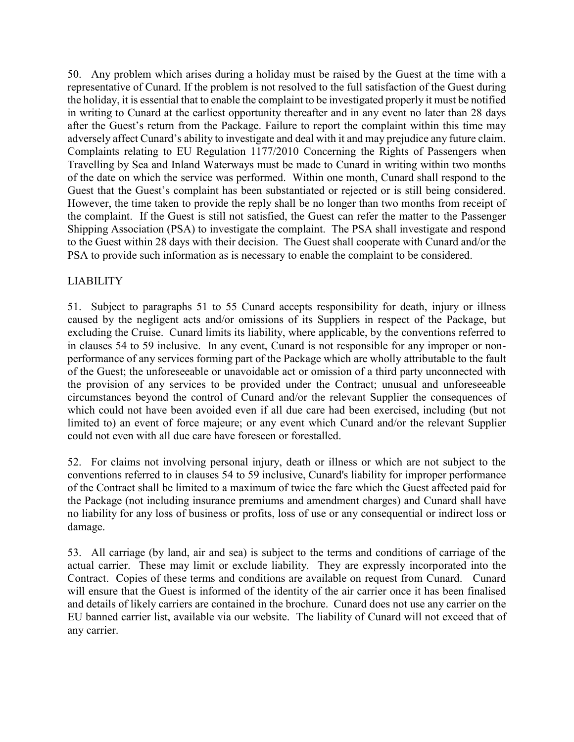50. Any problem which arises during a holiday must be raised by the Guest at the time with a representative of Cunard. If the problem is not resolved to the full satisfaction of the Guest during the holiday, it is essential that to enable the complaint to be investigated properly it must be notified in writing to Cunard at the earliest opportunity thereafter and in any event no later than 28 days after the Guest's return from the Package. Failure to report the complaint within this time may adversely affect Cunard's ability to investigate and deal with it and may prejudice any future claim. Complaints relating to EU Regulation 1177/2010 Concerning the Rights of Passengers when Travelling by Sea and Inland Waterways must be made to Cunard in writing within two months of the date on which the service was performed. Within one month, Cunard shall respond to the Guest that the Guest's complaint has been substantiated or rejected or is still being considered. However, the time taken to provide the reply shall be no longer than two months from receipt of the complaint. If the Guest is still not satisfied, the Guest can refer the matter to the Passenger Shipping Association (PSA) to investigate the complaint. The PSA shall investigate and respond to the Guest within 28 days with their decision. The Guest shall cooperate with Cunard and/or the PSA to provide such information as is necessary to enable the complaint to be considered.

## LIABILITY

51. Subject to paragraphs 51 to 55 Cunard accepts responsibility for death, injury or illness caused by the negligent acts and/or omissions of its Suppliers in respect of the Package, but excluding the Cruise. Cunard limits its liability, where applicable, by the conventions referred to in clauses 54 to 59 inclusive. In any event, Cunard is not responsible for any improper or nonperformance of any services forming part of the Package which are wholly attributable to the fault of the Guest; the unforeseeable or unavoidable act or omission of a third party unconnected with the provision of any services to be provided under the Contract; unusual and unforeseeable circumstances beyond the control of Cunard and/or the relevant Supplier the consequences of which could not have been avoided even if all due care had been exercised, including (but not limited to) an event of force majeure; or any event which Cunard and/or the relevant Supplier could not even with all due care have foreseen or forestalled.

52. For claims not involving personal injury, death or illness or which are not subject to the conventions referred to in clauses 54 to 59 inclusive, Cunard's liability for improper performance of the Contract shall be limited to a maximum of twice the fare which the Guest affected paid for the Package (not including insurance premiums and amendment charges) and Cunard shall have no liability for any loss of business or profits, loss of use or any consequential or indirect loss or damage.

53. All carriage (by land, air and sea) is subject to the terms and conditions of carriage of the actual carrier. These may limit or exclude liability. They are expressly incorporated into the Contract. Copies of these terms and conditions are available on request from Cunard. Cunard will ensure that the Guest is informed of the identity of the air carrier once it has been finalised and details of likely carriers are contained in the brochure. Cunard does not use any carrier on the EU banned carrier list, available via our website. The liability of Cunard will not exceed that of any carrier.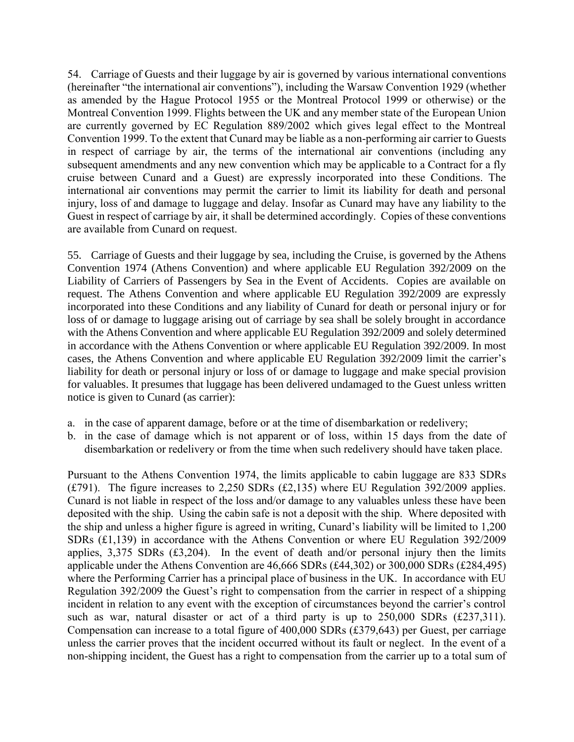54. Carriage of Guests and their luggage by air is governed by various international conventions (hereinafter "the international air conventions"), including the Warsaw Convention 1929 (whether as amended by the Hague Protocol 1955 or the Montreal Protocol 1999 or otherwise) or the Montreal Convention 1999. Flights between the UK and any member state of the European Union are currently governed by EC Regulation 889/2002 which gives legal effect to the Montreal Convention 1999. To the extent that Cunard may be liable as a non-performing air carrier to Guests in respect of carriage by air, the terms of the international air conventions (including any subsequent amendments and any new convention which may be applicable to a Contract for a fly cruise between Cunard and a Guest) are expressly incorporated into these Conditions. The international air conventions may permit the carrier to limit its liability for death and personal injury, loss of and damage to luggage and delay. Insofar as Cunard may have any liability to the Guest in respect of carriage by air, it shall be determined accordingly. Copies of these conventions are available from Cunard on request.

55. Carriage of Guests and their luggage by sea, including the Cruise, is governed by the Athens Convention 1974 (Athens Convention) and where applicable EU Regulation 392/2009 on the Liability of Carriers of Passengers by Sea in the Event of Accidents. Copies are available on request. The Athens Convention and where applicable EU Regulation 392/2009 are expressly incorporated into these Conditions and any liability of Cunard for death or personal injury or for loss of or damage to luggage arising out of carriage by sea shall be solely brought in accordance with the Athens Convention and where applicable EU Regulation 392/2009 and solely determined in accordance with the Athens Convention or where applicable EU Regulation 392/2009. In most cases, the Athens Convention and where applicable EU Regulation 392/2009 limit the carrier's liability for death or personal injury or loss of or damage to luggage and make special provision for valuables. It presumes that luggage has been delivered undamaged to the Guest unless written notice is given to Cunard (as carrier):

- a. in the case of apparent damage, before or at the time of disembarkation or redelivery;
- b. in the case of damage which is not apparent or of loss, within 15 days from the date of disembarkation or redelivery or from the time when such redelivery should have taken place.

Pursuant to the Athens Convention 1974, the limits applicable to cabin luggage are 833 SDRs ( $£791$ ). The figure increases to 2,250 SDRs ( $£2,135$ ) where EU Regulation 392/2009 applies. Cunard is not liable in respect of the loss and/or damage to any valuables unless these have been deposited with the ship. Using the cabin safe is not a deposit with the ship. Where deposited with the ship and unless a higher figure is agreed in writing, Cunard's liability will be limited to 1,200 SDRs (£1,139) in accordance with the Athens Convention or where EU Regulation 392/2009 applies,  $3,375$  SDRs (£3,204). In the event of death and/or personal injury then the limits applicable under the Athens Convention are 46,666 SDRs (£44,302) or 300,000 SDRs (£284,495) where the Performing Carrier has a principal place of business in the UK. In accordance with EU Regulation 392/2009 the Guest's right to compensation from the carrier in respect of a shipping incident in relation to any event with the exception of circumstances beyond the carrier's control such as war, natural disaster or act of a third party is up to 250,000 SDRs (£237,311). Compensation can increase to a total figure of 400,000 SDRs (£379,643) per Guest, per carriage unless the carrier proves that the incident occurred without its fault or neglect. In the event of a non-shipping incident, the Guest has a right to compensation from the carrier up to a total sum of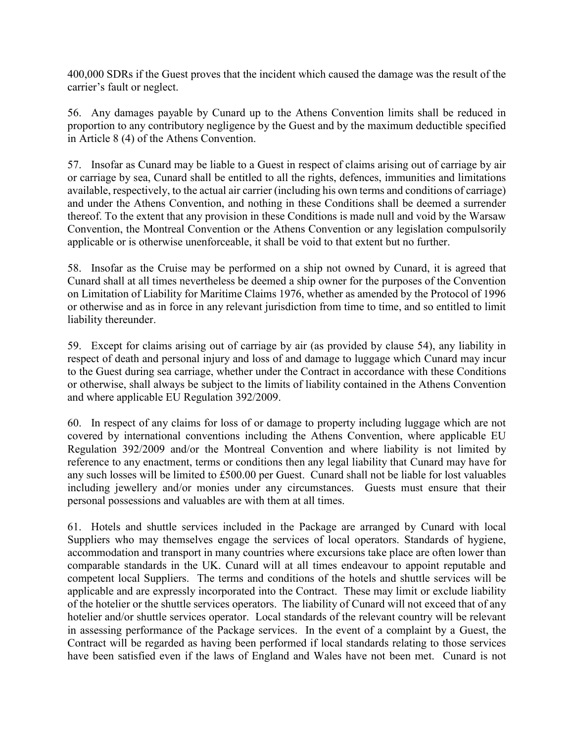400,000 SDRs if the Guest proves that the incident which caused the damage was the result of the carrier's fault or neglect.

56. Any damages payable by Cunard up to the Athens Convention limits shall be reduced in proportion to any contributory negligence by the Guest and by the maximum deductible specified in Article 8 (4) of the Athens Convention.

57. Insofar as Cunard may be liable to a Guest in respect of claims arising out of carriage by air or carriage by sea, Cunard shall be entitled to all the rights, defences, immunities and limitations available, respectively, to the actual air carrier (including his own terms and conditions of carriage) and under the Athens Convention, and nothing in these Conditions shall be deemed a surrender thereof. To the extent that any provision in these Conditions is made null and void by the Warsaw Convention, the Montreal Convention or the Athens Convention or any legislation compulsorily applicable or is otherwise unenforceable, it shall be void to that extent but no further.

58. Insofar as the Cruise may be performed on a ship not owned by Cunard, it is agreed that Cunard shall at all times nevertheless be deemed a ship owner for the purposes of the Convention on Limitation of Liability for Maritime Claims 1976, whether as amended by the Protocol of 1996 or otherwise and as in force in any relevant jurisdiction from time to time, and so entitled to limit liability thereunder.

59. Except for claims arising out of carriage by air (as provided by clause 54), any liability in respect of death and personal injury and loss of and damage to luggage which Cunard may incur to the Guest during sea carriage, whether under the Contract in accordance with these Conditions or otherwise, shall always be subject to the limits of liability contained in the Athens Convention and where applicable EU Regulation 392/2009.

60. In respect of any claims for loss of or damage to property including luggage which are not covered by international conventions including the Athens Convention, where applicable EU Regulation 392/2009 and/or the Montreal Convention and where liability is not limited by reference to any enactment, terms or conditions then any legal liability that Cunard may have for any such losses will be limited to £500.00 per Guest. Cunard shall not be liable for lost valuables including jewellery and/or monies under any circumstances. Guests must ensure that their personal possessions and valuables are with them at all times.

61. Hotels and shuttle services included in the Package are arranged by Cunard with local Suppliers who may themselves engage the services of local operators. Standards of hygiene, accommodation and transport in many countries where excursions take place are often lower than comparable standards in the UK. Cunard will at all times endeavour to appoint reputable and competent local Suppliers. The terms and conditions of the hotels and shuttle services will be applicable and are expressly incorporated into the Contract. These may limit or exclude liability of the hotelier or the shuttle services operators. The liability of Cunard will not exceed that of any hotelier and/or shuttle services operator. Local standards of the relevant country will be relevant in assessing performance of the Package services. In the event of a complaint by a Guest, the Contract will be regarded as having been performed if local standards relating to those services have been satisfied even if the laws of England and Wales have not been met. Cunard is not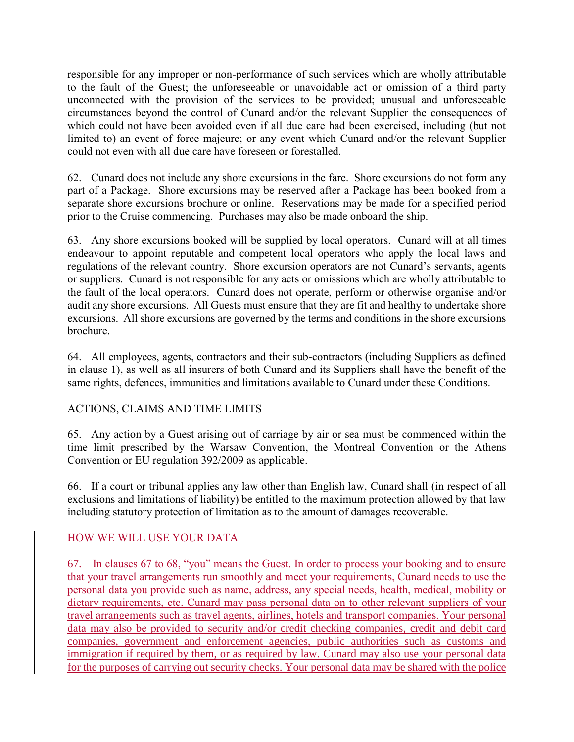responsible for any improper or non-performance of such services which are wholly attributable to the fault of the Guest; the unforeseeable or unavoidable act or omission of a third party unconnected with the provision of the services to be provided; unusual and unforeseeable circumstances beyond the control of Cunard and/or the relevant Supplier the consequences of which could not have been avoided even if all due care had been exercised, including (but not limited to) an event of force majeure; or any event which Cunard and/or the relevant Supplier could not even with all due care have foreseen or forestalled.

62. Cunard does not include any shore excursions in the fare. Shore excursions do not form any part of a Package. Shore excursions may be reserved after a Package has been booked from a separate shore excursions brochure or online. Reservations may be made for a specified period prior to the Cruise commencing. Purchases may also be made onboard the ship.

63. Any shore excursions booked will be supplied by local operators. Cunard will at all times endeavour to appoint reputable and competent local operators who apply the local laws and regulations of the relevant country. Shore excursion operators are not Cunard's servants, agents or suppliers. Cunard is not responsible for any acts or omissions which are wholly attributable to the fault of the local operators. Cunard does not operate, perform or otherwise organise and/or audit any shore excursions. All Guests must ensure that they are fit and healthy to undertake shore excursions. All shore excursions are governed by the terms and conditions in the shore excursions brochure.

64. All employees, agents, contractors and their sub-contractors (including Suppliers as defined in clause 1), as well as all insurers of both Cunard and its Suppliers shall have the benefit of the same rights, defences, immunities and limitations available to Cunard under these Conditions.

## ACTIONS, CLAIMS AND TIME LIMITS

65. Any action by a Guest arising out of carriage by air or sea must be commenced within the time limit prescribed by the Warsaw Convention, the Montreal Convention or the Athens Convention or EU regulation 392/2009 as applicable.

66. If a court or tribunal applies any law other than English law, Cunard shall (in respect of all exclusions and limitations of liability) be entitled to the maximum protection allowed by that law including statutory protection of limitation as to the amount of damages recoverable.

## HOW WE WILL USE YOUR DATA

67. In clauses 67 to 68, "you" means the Guest. In order to process your booking and to ensure that your travel arrangements run smoothly and meet your requirements, Cunard needs to use the personal data you provide such as name, address, any special needs, health, medical, mobility or dietary requirements, etc. Cunard may pass personal data on to other relevant suppliers of your travel arrangements such as travel agents, airlines, hotels and transport companies. Your personal data may also be provided to security and/or credit checking companies, credit and debit card companies, government and enforcement agencies, public authorities such as customs and immigration if required by them, or as required by law. Cunard may also use your personal data for the purposes of carrying out security checks. Your personal data may be shared with the police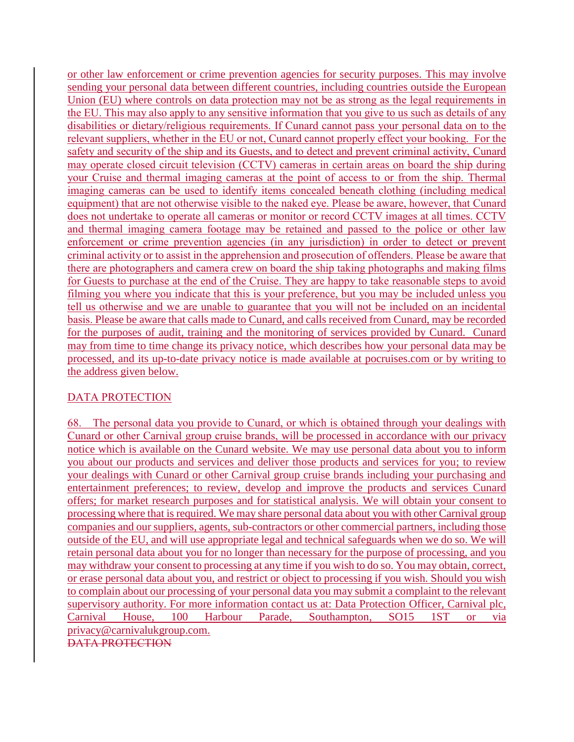or other law enforcement or crime prevention agencies for security purposes. This may involve sending your personal data between different countries, including countries outside the European Union (EU) where controls on data protection may not be as strong as the legal requirements in the EU. This may also apply to any sensitive information that you give to us such as details of any disabilities or dietary/religious requirements. If Cunard cannot pass your personal data on to the relevant suppliers, whether in the EU or not, Cunard cannot properly effect your booking. For the safety and security of the ship and its Guests, and to detect and prevent criminal activity, Cunard may operate closed circuit television (CCTV) cameras in certain areas on board the ship during your Cruise and thermal imaging cameras at the point of access to or from the ship. Thermal imaging cameras can be used to identify items concealed beneath clothing (including medical equipment) that are not otherwise visible to the naked eye. Please be aware, however, that Cunard does not undertake to operate all cameras or monitor or record CCTV images at all times. CCTV and thermal imaging camera footage may be retained and passed to the police or other law enforcement or crime prevention agencies (in any jurisdiction) in order to detect or prevent criminal activity or to assist in the apprehension and prosecution of offenders. Please be aware that there are photographers and camera crew on board the ship taking photographs and making films for Guests to purchase at the end of the Cruise. They are happy to take reasonable steps to avoid filming you where you indicate that this is your preference, but you may be included unless you tell us otherwise and we are unable to guarantee that you will not be included on an incidental basis. Please be aware that calls made to Cunard, and calls received from Cunard, may be recorded for the purposes of audit, training and the monitoring of services provided by Cunard. Cunard may from time to time change its privacy notice, which describes how your personal data may be processed, and its up-to-date privacy notice is made available at pocruises.com or by writing to the address given below.

## DATA PROTECTION

68. The personal data you provide to Cunard, or which is obtained through your dealings with Cunard or other Carnival group cruise brands, will be processed in accordance with our privacy notice which is available on the Cunard website. We may use personal data about you to inform you about our products and services and deliver those products and services for you; to review your dealings with Cunard or other Carnival group cruise brands including your purchasing and entertainment preferences; to review, develop and improve the products and services Cunard offers; for market research purposes and for statistical analysis. We will obtain your consent to processing where that is required. We may share personal data about you with other Carnival group companies and our suppliers, agents, sub-contractors or other commercial partners, including those outside of the EU, and will use appropriate legal and technical safeguards when we do so. We will retain personal data about you for no longer than necessary for the purpose of processing, and you may withdraw your consent to processing at any time if you wish to do so. You may obtain, correct, or erase personal data about you, and restrict or object to processing if you wish. Should you wish to complain about our processing of your personal data you may submit a complaint to the relevant supervisory authority. For more information contact us at: Data Protection Officer, Carnival plc, Carnival House, 100 Harbour Parade, Southampton, SO15 1ST or via [privacy@carnivalukgroup.com.](mailto:privacy@carnivalukgroup.com) DATA PROTECTION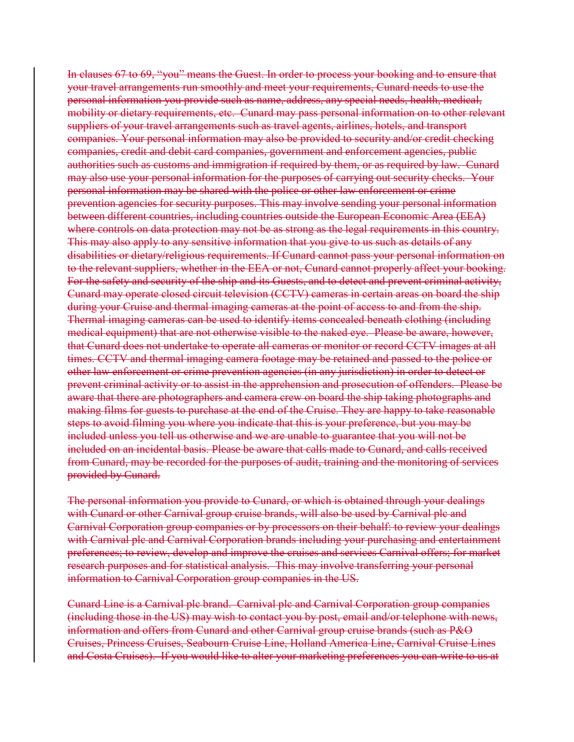In clauses 67 to 69, "you" means the Guest. In order to process your booking and to ensure that your travel arrangements run smoothly and meet your requirements, Cunard needs to use the personal information you provide such as name, address, any special needs, health, medical, mobility or dietary requirements, etc. Cunard may pass personal information on to other relevant suppliers of your travel arrangements such as travel agents, airlines, hotels, and transport companies. Your personal information may also be provided to security and/or credit checking companies, credit and debit card companies, government and enforcement agencies, public authorities such as customs and immigration if required by them, or as required by law. Cunard may also use your personal information for the purposes of carrying out security checks. Your personal information may be shared with the police or other law enforcement or crime prevention agencies for security purposes. This may involve sending your personal information between different countries, including countries outside the European Economic Area (EEA) where controls on data protection may not be as strong as the legal requirements in this country. This may also apply to any sensitive information that you give to us such as details of any disabilities or dietary/religious requirements. If Cunard cannot pass your personal information on to the relevant suppliers, whether in the EEA or not, Cunard cannot properly affect your booking. For the safety and security of the ship and its Guests, and to detect and prevent criminal activity, Cunard may operate closed circuit television (CCTV) cameras in certain areas on board the ship during your Cruise and thermal imaging cameras at the point of access to and from the ship. Thermal imaging cameras can be used to identify items concealed beneath clothing (including medical equipment) that are not otherwise visible to the naked eye. Please be aware, however, that Cunard does not undertake to operate all cameras or monitor or record CCTV images at all times. CCTV and thermal imaging camera footage may be retained and passed to the police or other law enforcement or crime prevention agencies (in any jurisdiction) in order to detect or prevent criminal activity or to assist in the apprehension and prosecution of offenders. Please be aware that there are photographers and camera crew on board the ship taking photographs and making films for guests to purchase at the end of the Cruise. They are happy to take reasonable steps to avoid filming you where you indicate that this is your preference, but you may be included unless you tell us otherwise and we are unable to guarantee that you will not be included on an incidental basis. Please be aware that calls made to Cunard, and calls received from Cunard, may be recorded for the purposes of audit, training and the monitoring of services provided by Cunard.

The personal information you provide to Cunard, or which is obtained through your dealings with Cunard or other Carnival group cruise brands, will also be used by Carnival plc and Carnival Corporation group companies or by processors on their behalf: to review your dealings with Carnival plc and Carnival Corporation brands including your purchasing and entertainment preferences; to review, develop and improve the cruises and services Carnival offers; for market research purposes and for statistical analysis. This may involve transferring your personal information to Carnival Corporation group companies in the US.

Cunard Line is a Carnival plc brand. Carnival plc and Carnival Corporation group companies (including those in the US) may wish to contact you by post, email and/or telephone with news, information and offers from Cunard and other Carnival group cruise brands (such as P&O Cruises, Princess Cruises, Seabourn Cruise Line, Holland America Line, Carnival Cruise Lines and Costa Cruises). If you would like to alter your marketing preferences you can write to us at